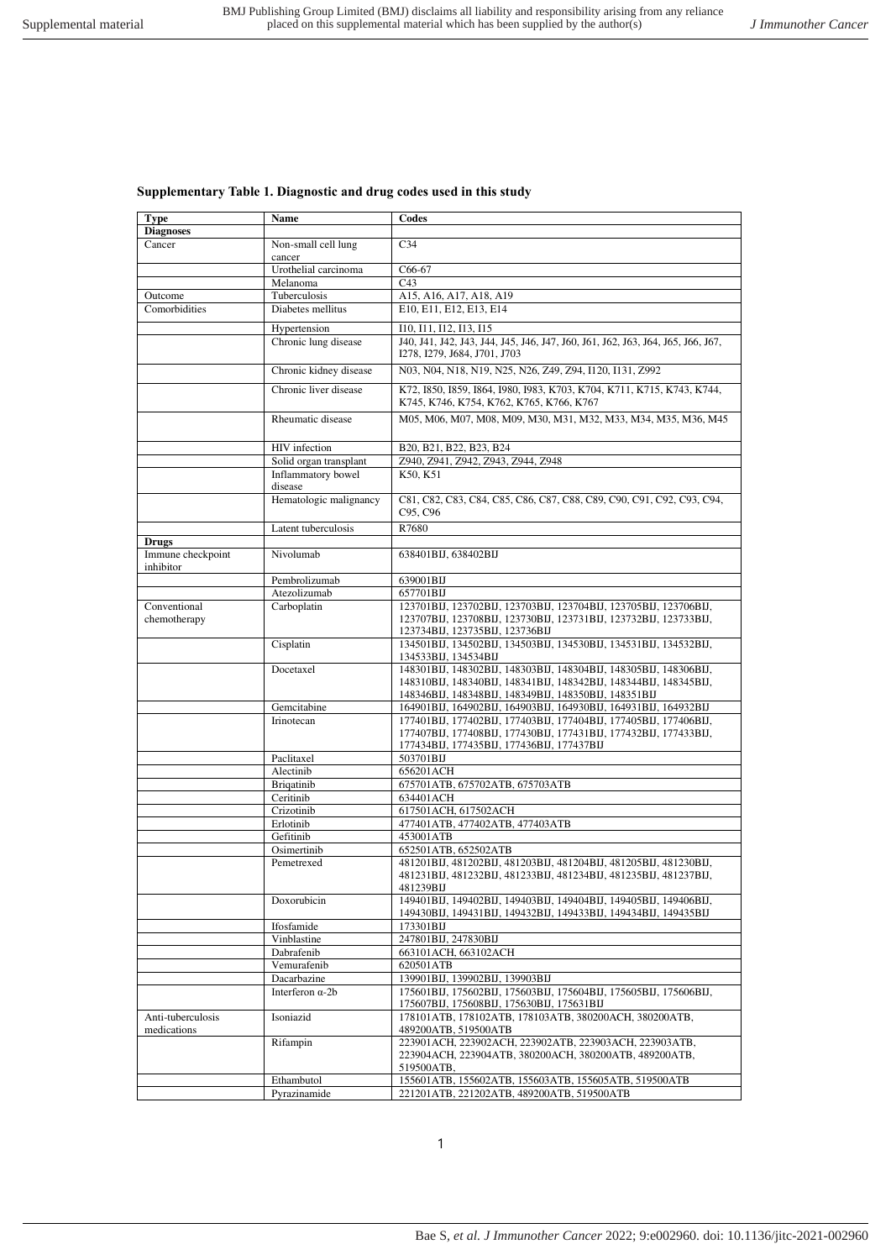## **Supplementary Table 1. Diagnostic and drug codes used in this study**

| <b>Type</b>       | Name                          | Codes                                                                           |
|-------------------|-------------------------------|---------------------------------------------------------------------------------|
| <b>Diagnoses</b>  |                               |                                                                                 |
| Cancer            |                               | C <sub>34</sub>                                                                 |
|                   | Non-small cell lung<br>cancer |                                                                                 |
|                   |                               |                                                                                 |
|                   | Urothelial carcinoma          | C66-67                                                                          |
|                   | Melanoma                      | C <sub>43</sub>                                                                 |
| Outcome           | Tuberculosis                  | A15, A16, A17, A18, A19                                                         |
| Comorbidities     | Diabetes mellitus             | E10, E11, E12, E13, E14                                                         |
|                   | Hypertension                  | 110, 111, 112, 113, 115                                                         |
|                   | Chronic lung disease          | J40, J41, J42, J43, J44, J45, J46, J47, J60, J61, J62, J63, J64, J65, J66, J67, |
|                   |                               |                                                                                 |
|                   |                               | I278, I279, J684, J701, J703                                                    |
|                   | Chronic kidney disease        | N03, N04, N18, N19, N25, N26, Z49, Z94, I120, I131, Z992                        |
|                   | Chronic liver disease         | K72, 1850, 1859, 1864, 1980, 1983, K703, K704, K711, K715, K743, K744,          |
|                   |                               |                                                                                 |
|                   |                               | K745, K746, K754, K762, K765, K766, K767                                        |
|                   | Rheumatic disease             | M05, M06, M07, M08, M09, M30, M31, M32, M33, M34, M35, M36, M45                 |
|                   |                               |                                                                                 |
|                   | HIV infection                 | B20, B21, B22, B23, B24                                                         |
|                   | Solid organ transplant        | Z940, Z941, Z942, Z943, Z944, Z948                                              |
|                   | Inflammatory bowel            | K50, K51                                                                        |
|                   |                               |                                                                                 |
|                   | disease                       |                                                                                 |
|                   | Hematologic malignancy        | C81, C82, C83, C84, C85, C86, C87, C88, C89, C90, C91, C92, C93, C94,           |
|                   |                               | C95, C96                                                                        |
|                   | Latent tuberculosis           | R7680                                                                           |
| <b>Drugs</b>      |                               |                                                                                 |
| Immune checkpoint | Nivolumab                     | 638401BIJ, 638402BIJ                                                            |
| inhibitor         |                               |                                                                                 |
|                   | Pembrolizumab                 | 639001BIJ                                                                       |
|                   | Atezolizumab                  | 657701BIJ                                                                       |
| Conventional      |                               |                                                                                 |
|                   | Carboplatin                   | 123701BIJ, 123702BIJ, 123703BIJ, 123704BIJ, 123705BIJ, 123706BIJ,               |
| chemotherapy      |                               | 123707BIJ, 123708BIJ, 123730BIJ, 123731BIJ, 123732BIJ, 123733BIJ,               |
|                   |                               | 123734BIJ, 123735BIJ, 123736BIJ                                                 |
|                   | Cisplatin                     | 134501BIJ, 134502BIJ, 134503BIJ, 134530BIJ, 134531BIJ, 134532BIJ,               |
|                   |                               | 134533BIJ, 134534BIJ                                                            |
|                   | Docetaxel                     | 148301BIJ, 148302BIJ, 148303BIJ, 148304BIJ, 148305BIJ, 148306BIJ,               |
|                   |                               | 148310BIJ, 148340BIJ, 148341BIJ, 148342BIJ, 148344BIJ, 148345BIJ,               |
|                   |                               | 148346BIJ, 148348BIJ, 148349BIJ, 148350BIJ, 148351BIJ                           |
|                   | Gemcitabine                   | 164901BIJ, 164902BIJ, 164903BIJ, 164930BIJ, 164931BIJ, 164932BIJ                |
|                   | Irinotecan                    | 177401BIJ, 177402BIJ, 177403BIJ, 177404BIJ, 177405BIJ, 177406BIJ,               |
|                   |                               | 177407BIJ, 177408BIJ, 177430BIJ, 177431BIJ, 177432BIJ, 177433BIJ,               |
|                   |                               | 177434BIJ, 177435BIJ, 177436BIJ, 177437BIJ                                      |
|                   | Paclitaxel                    | 503701BIJ                                                                       |
|                   | Alectinib                     | 656201ACH                                                                       |
|                   | <b>Brigatinib</b>             | 675701ATB, 675702ATB, 675703ATB                                                 |
|                   | Ceritinib                     | 634401ACH                                                                       |
|                   | Crizotinib                    | 617501ACH, 617502ACH                                                            |
|                   | Erlotinib                     | 477401ATB, 477402ATB, 477403ATB                                                 |
|                   | Gefitinib                     | 453001ATB                                                                       |
|                   |                               |                                                                                 |
|                   | Osimertinib                   | 652501ATB, 652502ATB                                                            |
|                   | Pemetrexed                    | 481201BIJ, 481202BIJ, 481203BIJ, 481204BIJ, 481205BIJ, 481230BIJ,               |
|                   |                               | 481231BIJ, 481232BIJ, 481233BIJ, 481234BIJ, 481235BIJ, 481237BIJ,               |
|                   |                               | 481239BIJ                                                                       |
|                   | Doxorubicin                   | 149401BIJ, 149402BIJ, 149403BIJ, 149404BIJ, 149405BIJ, 149406BIJ,               |
|                   |                               | 149430BIJ, 149431BIJ, 149432BIJ, 149433BIJ, 149434BIJ, 149435BIJ                |
|                   | Ifosfamide                    | 173301BIJ                                                                       |
|                   | Vinblastine                   | 247801BIJ, 247830BIJ                                                            |
|                   | Dabrafenib                    | 663101ACH, 663102ACH                                                            |
|                   | Vemurafenib                   | 620501ATB                                                                       |
|                   | Dacarbazine                   | 139901BIJ, 139902BIJ, 139903BIJ                                                 |
|                   | Interferon $\alpha$ -2b       | 175601BIJ, 175602BIJ, 175603BIJ, 175604BIJ, 175605BIJ, 175606BIJ,               |
|                   |                               | 175607BIJ, 175608BIJ, 175630BIJ, 175631BIJ                                      |
| Anti-tuberculosis | Isoniazid                     | 178101ATB, 178102ATB, 178103ATB, 380200ACH, 380200ATB,                          |
| medications       |                               | 489200ATB, 519500ATB                                                            |
|                   | Rifampin                      | 223901ACH, 223902ACH, 223902ATB, 223903ACH, 223903ATB,                          |
|                   |                               | 223904ACH, 223904ATB, 380200ACH, 380200ATB, 489200ATB,                          |
|                   |                               | 519500ATB,                                                                      |
|                   |                               |                                                                                 |
|                   | Ethambutol                    | 155601ATB, 155602ATB, 155603ATB, 155605ATB, 519500ATB                           |
|                   | Pyrazinamide                  | 221201ATB, 221202ATB, 489200ATB, 519500ATB                                      |